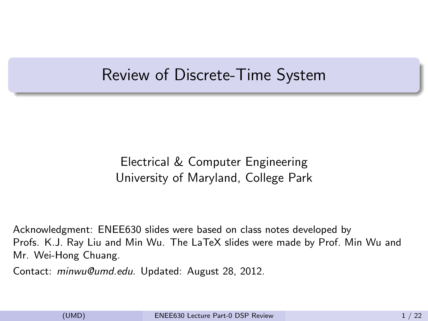### Review of Discrete-Time System

#### <span id="page-0-0"></span>Electrical & Computer Engineering University of Maryland, College Park

Acknowledgment: ENEE630 slides were based on class notes developed by Profs. K.J. Ray Liu and Min Wu. The LaTeX slides were made by Prof. Min Wu and Mr. Wei-Hong Chuang.

Contact: minwu@umd.edu. Updated: August 28, 2012.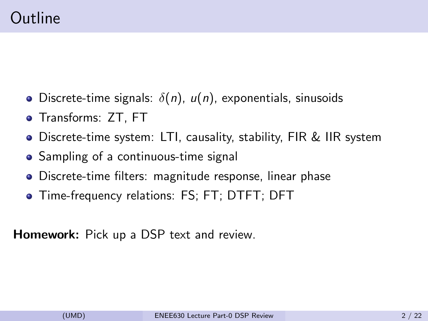- Discrete-time signals:  $\delta(n)$ ,  $u(n)$ , exponentials, sinusoids
- Transforms: ZT, FT
- Discrete-time system: LTI, causality, stability, FIR & IIR system
- Sampling of a continuous-time signal
- Discrete-time filters: magnitude response, linear phase
- Time-frequency relations: FS; FT; DTFT; DFT

Homework: Pick up a DSP text and review.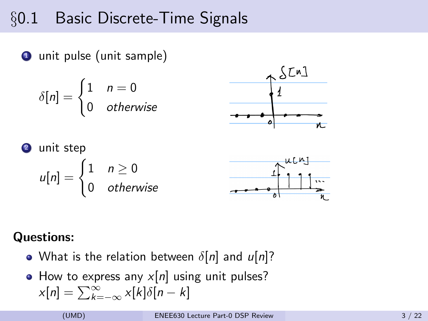## §0.1 Basic Discrete-Time Signals

**1** unit pulse (unit sample)

$$
\delta[n] = \begin{cases} 1 & n = 0 \\ 0 & \text{otherwise} \end{cases}
$$



**Q** unit step  

$$
u[n] = \begin{cases} 1 & n \ge 0 \\ 0 & otherwise \end{cases}
$$



#### Questions:

- What is the relation between  $\delta[n]$  and  $u[n]$ ?
- $\bullet$  How to express any  $x[n]$  using unit pulses?  $x[n] = \sum_{k=-\infty}^{\infty} x[k]\delta[n-k]$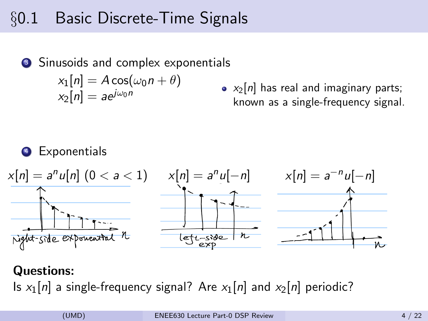## §0.1 Basic Discrete-Time Signals

<sup>3</sup> Sinusoids and complex exponentials  $x_1[n] = A \cos(\omega_0 n + \theta)$  $x_2[n] = a e^{j\omega_0 n}$ 

•  $x_2[n]$  has real and imaginary parts; known as a single-frequency signal.

#### **Exponentials**



#### Questions:

Is  $x_1[n]$  a single-frequency signal? Are  $x_1[n]$  and  $x_2[n]$  periodic?

(UMD) [ENEE630 Lecture Part-0 DSP Review](#page-0-0) 4 / 22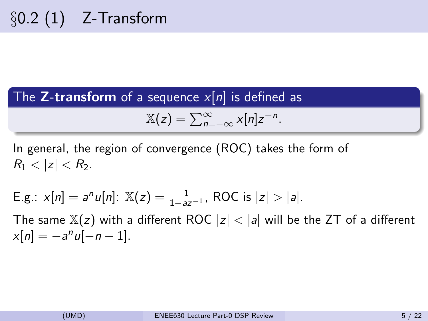The **Z-transform** of a sequence  $x[n]$  is defined as

$$
\mathbb{X}(z)=\sum_{n=-\infty}^{\infty}x[n]z^{-n}.
$$

In general, the region of convergence (ROC) takes the form of  $R_1 < |z| < R_2$ .

E.g.: 
$$
x[n] = a^n u[n]
$$
:  $\mathbb{X}(z) = \frac{1}{1 - az^{-1}}$ , ROC is  $|z| > |a|$ .

The same  $\mathbb{X}(z)$  with a different ROC  $|z| < |a|$  will be the ZT of a different  $x[n] = -a^n u[-n-1].$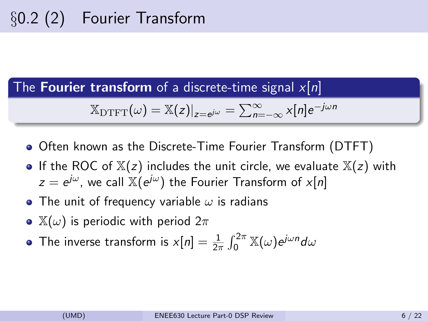The **Fourier transform** of a discrete-time signal  $x[n]$ 

$$
\mathbb{X}_{\text{DTFT}}(\omega) = \mathbb{X}(z)|_{z=e^{j\omega}} = \sum_{n=-\infty}^{\infty} x[n]e^{-j\omega n}
$$

- Often known as the Discrete-Time Fourier Transform (DTFT)
- If the ROC of  $X(z)$  includes the unit circle, we evaluate  $X(z)$  with  $z=e^{j\omega}$ , we call  $\mathbb{X}(e^{j\omega})$  the Fourier Transform of  $x[n]$
- The unit of frequency variable  $\omega$  is radians
- $\mathbb{X}(\omega)$  is periodic with period  $2\pi$
- The inverse transform is  $x[n] = \frac{1}{2\pi} \int_0^{2\pi} \mathbb{X}(\omega) e^{j\omega n} d\omega$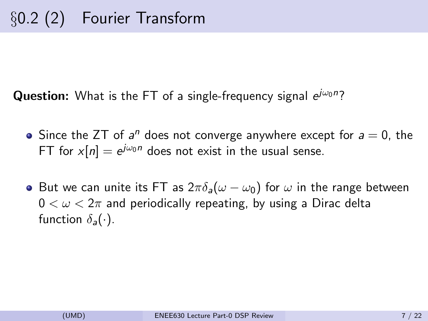**Question:** What is the FT of a single-frequency signal  $e^{j\omega_0 n}$ ?

- Since the ZT of  $a^n$  does not converge anywhere except for  $a = 0$ , the FT for  $x[n] = e^{j\omega_0 n}$  does not exist in the usual sense.
- But we can unite its FT as  $2\pi\delta_a(\omega-\omega_0)$  for  $\omega$  in the range between  $0 < \omega < 2\pi$  and periodically repeating, by using a Dirac delta function  $\delta_a(\cdot)$ .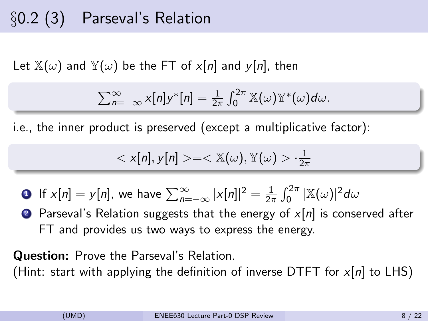# §0.2 (3) Parseval's Relation

Let  $\mathbb{X}(\omega)$  and  $\mathbb{Y}(\omega)$  be the FT of x[n] and y[n], then

$$
\sum_{n=-\infty}^{\infty} x[n]y^{*}[n] = \frac{1}{2\pi} \int_{0}^{2\pi} \mathbb{X}(\omega) \mathbb{Y}^{*}(\omega) d\omega.
$$

i.e., the inner product is preserved (except a multiplicative factor):

$$
\langle x[n], y[n] \rangle = \langle x(\omega), y(\omega) \rangle \cdot \frac{1}{2\pi}
$$

**1** If  $x[n] = y[n]$ , we have  $\sum_{n=-\infty}^{\infty} |x[n]|^2 = \frac{1}{2n}$  $\frac{1}{2\pi}\int_{0}^{2\pi}|\mathbb{X}(\omega)|^{2}d\omega$ 

**2** Parseval's Relation suggests that the energy of  $x[n]$  is conserved after FT and provides us two ways to express the energy.

Question: Prove the Parseval's Relation.

(Hint: start with applying the definition of inverse DTFT for  $x[n]$  to LHS)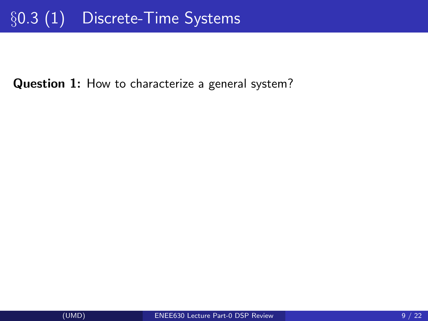Question 1: How to characterize a general system?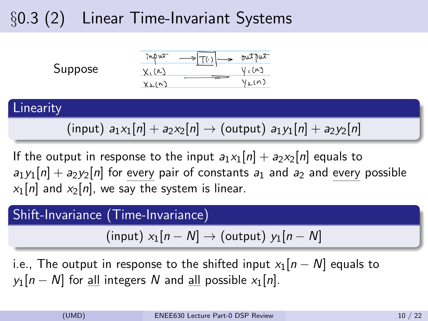# §0.3 (2) Linear Time-Invariant Systems



#### **Linearity**

### (input)  $a_1x_1[n] + a_2x_2[n] \rightarrow$  (output)  $a_1y_1[n] + a_2y_2[n]$

If the output in response to the input  $a_1x_1[n] + a_2x_2[n]$  equals to  $a_1y_1[n] + a_2y_2[n]$  for every pair of constants  $a_1$  and  $a_2$  and every possible  $x_1[n]$  and  $x_2[n]$ , we say the system is linear.

#### Shift-Invariance (Time-Invariance)

(input)  $x_1[n - N] \rightarrow$  (output)  $y_1[n - N]$ 

i.e., The output in response to the shifted input  $x_1[n-N]$  equals to  $y_1[n - N]$  for all integers N and all possible  $x_1[n]$ .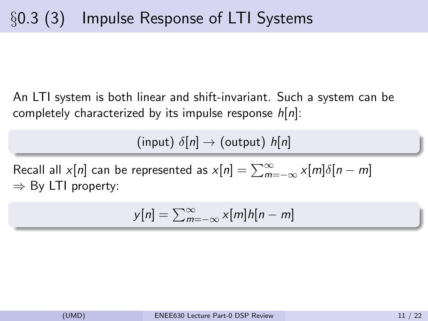An LTI system is both linear and shift-invariant. Such a system can be completely characterized by its impulse response  $h[n]$ :

(input)  $\delta[n] \rightarrow$  (output)  $h[n]$ 

Recall all  $x[n]$  can be represented as  $x[n] = \sum_{m=-\infty}^{\infty} x[m]\delta[n-m]$ ⇒ By LTI property:

$$
y[n] = \sum_{m=-\infty}^{\infty} x[m]h[n-m]
$$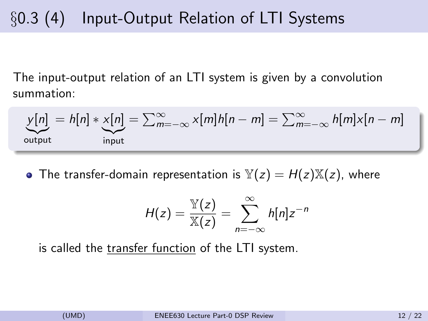# §0.3 (4) Input-Output Relation of LTI Systems

The input-output relation of an LTI system is given by a convolution summation:

$$
\underbrace{y[n]}_{\text{output}} = h[n] * \underbrace{x[n]}_{\text{input}} = \sum_{m=-\infty}^{\infty} x[m]h[n-m] = \sum_{m=-\infty}^{\infty} h[m]x[n-m]
$$

• The transfer-domain representation is  $\mathbb{Y}(z) = H(z)\mathbb{X}(z)$ , where

$$
H(z) = \frac{\mathbb{Y}(z)}{\mathbb{X}(z)} = \sum_{n=-\infty}^{\infty} h[n]z^{-n}
$$

is called the transfer function of the LTI system.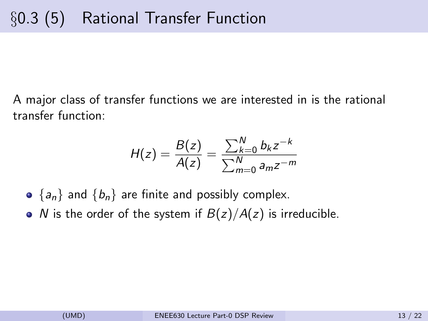A major class of transfer functions we are interested in is the rational transfer function:

$$
H(z) = \frac{B(z)}{A(z)} = \frac{\sum_{k=0}^{N} b_k z^{-k}}{\sum_{m=0}^{N} a_m z^{-m}}
$$

- $\bullet$  {a<sub>n</sub>} and {b<sub>n</sub>} are finite and possibly complex.
- N is the order of the system if  $B(z)/A(z)$  is irreducible.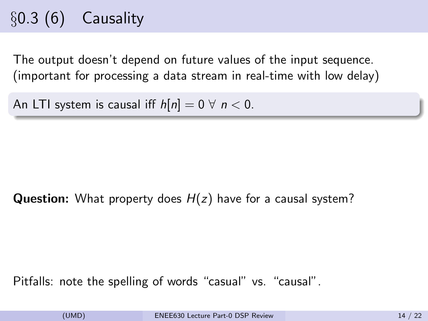# $\S 0.3(6)$  Causality

The output doesn't depend on future values of the input sequence. (important for processing a data stream in real-time with low delay)

An LTI system is causal iff  $h[n] = 0 \forall n < 0$ .

**Question:** What property does  $H(z)$  have for a causal system?

Pitfalls: note the spelling of words "casual" vs. "causal".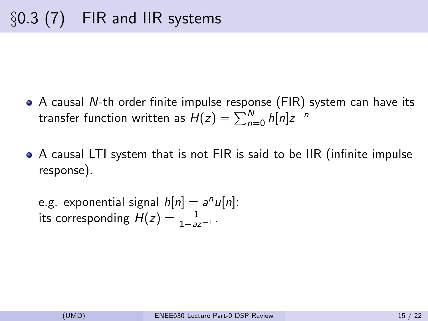- A causal N-th order finite impulse response (FIR) system can have its transfer function written as  $H(z)=\sum_{n=0}^N h[n]z^{-n}$
- A causal LTI system that is not FIR is said to be IIR (infinite impulse response).

e.g. exponential signal 
$$
h[n] = a^n u[n]
$$
:  
its corresponding  $H(z) = \frac{1}{1 - az^{-1}}$ .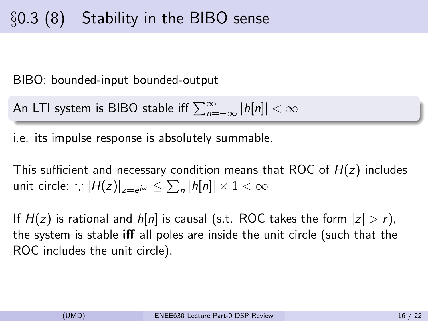# §0.3 (8) Stability in the BIBO sense

BIBO: bounded-input bounded-output

An LTI system is BIBO stable iff  $\sum_{n=-\infty}^{\infty} |h[n]| < \infty$ 

i.e. its impulse response is absolutely summable.

This sufficient and necessary condition means that ROC of  $H(z)$  includes unit circle:  $\left| \cdot \right| H(z) \right|_{z=e^{j\omega}} \leq \sum_n |h[n]| \times 1 < \infty$ 

If  $H(z)$  is rational and  $h[n]$  is causal (s.t. ROC takes the form  $|z| > r$ ), the system is stable iff all poles are inside the unit circle (such that the ROC includes the unit circle).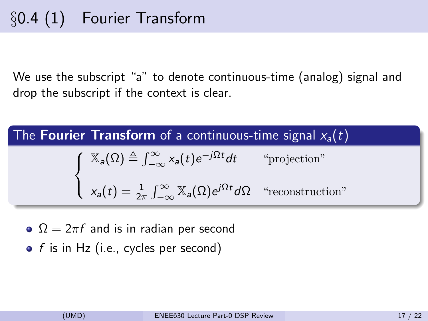We use the subscript "a" to denote continuous-time (analog) signal and drop the subscript if the context is clear.

The **Fourier Transform** of a continuous-time signal 
$$
x_a(t)
$$
  
\n
$$
\begin{cases}\n\mathbb{X}_a(\Omega) \triangleq \int_{-\infty}^{\infty} x_a(t) e^{-j\Omega t} dt & \text{``projection''} \\
x_a(t) = \frac{1}{2\pi} \int_{-\infty}^{\infty} \mathbb{X}_a(\Omega) e^{j\Omega t} d\Omega & \text{``reconstruction''}\n\end{cases}
$$

- $\Omega = 2\pi f$  and is in radian per second
- $\bullet$  f is in Hz (i.e., cycles per second)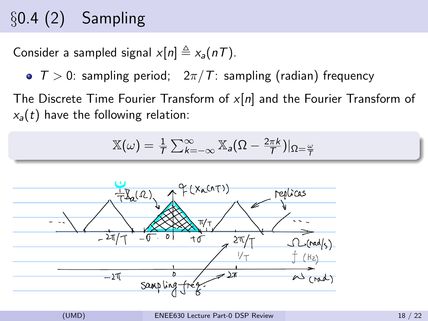# $\S 0.4(2)$  Sampling

Consider a sampled signal  $x[n] \triangleq x_a(nT)$ .

 $\bullet$   $T > 0$ : sampling period;  $2\pi/T$ : sampling (radian) frequency

The Discrete Time Fourier Transform of  $x[n]$  and the Fourier Transform of  $x_a(t)$  have the following relation:

$$
\mathbb{X}(\omega) = \frac{1}{\tau} \sum_{k=-\infty}^{\infty} \mathbb{X}_{a} (\Omega - \frac{2\pi k}{\tau})|_{\Omega = \frac{\omega}{\tau}}
$$

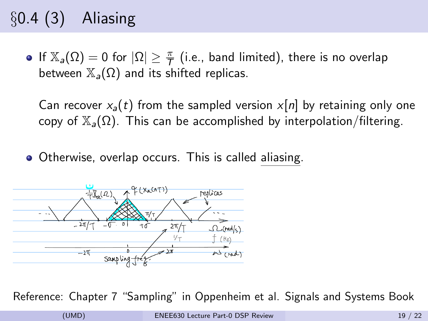# §0.4 (3) Aliasing

If  $\mathbb{X}_a(\Omega)=0$  for  $|\Omega|\geq \frac{\pi}{\mathcal{T}}$  (i.e., band limited), there is no overlap between  $\mathbb{X}_{a}(\Omega)$  and its shifted replicas.

Can recover  $x_a(t)$  from the sampled version  $x[n]$  by retaining only one copy of  $\mathbb{X}_{a}(\Omega)$ . This can be accomplished by interpolation/filtering.

Otherwise, overlap occurs. This is called aliasing.



Reference: Chapter 7 "Sampling" in Oppenheim et al. Signals and Systems Book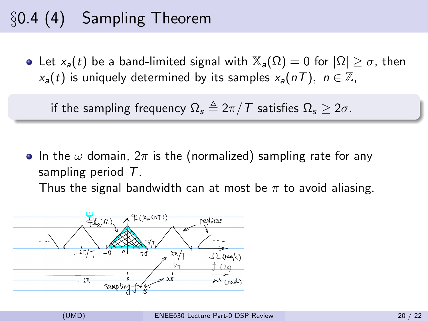# §0.4 (4) Sampling Theorem

• Let  $x_a(t)$  be a band-limited signal with  $\mathbb{X}_a(\Omega) = 0$  for  $|\Omega| > \sigma$ , then  $x_a(t)$  is uniquely determined by its samples  $x_a(nT)$ ,  $n \in \mathbb{Z}$ ,

if the sampling frequency  $\Omega_s \triangleq 2\pi/T$  satisfies  $\Omega_s > 2\sigma$ .

• In the  $\omega$  domain,  $2\pi$  is the (normalized) sampling rate for any sampling period T.

Thus the signal bandwidth can at most be  $\pi$  to avoid aliasing.

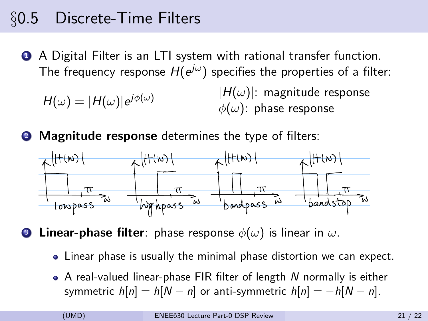### §0.5 Discrete-Time Filters

**4** A Digital Filter is an LTI system with rational transfer function. The frequency response  $H(\mathrm{e}^{j\omega})$  specifies the properties of a filter:

 $H(\omega)=|H(\omega)|{\rm e}^{j\phi(\omega)}$ 

 $|H(\omega)|$ : magnitude response  $\phi(\omega)$ : phase response

**2** Magnitude response determines the type of filters:



**Linear-phase filter**: phase response  $\phi(\omega)$  is linear in  $\omega$ .

- Linear phase is usually the minimal phase distortion we can expect.
- $\bullet$  A real-valued linear-phase FIR filter of length N normally is either symmetric  $h[n] = h[N - n]$  or anti-symmetric  $h[n] = -h[N - n]$ .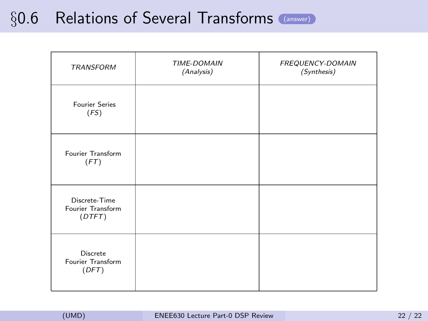# §0.6 Relations of Several Transforms [\(answer\)](#page-22-0)

<span id="page-21-0"></span>

| TRANSFORM                                    | TIME-DOMAIN<br>(Analysis) | FREQUENCY-DOMAIN<br>(Synthesis) |
|----------------------------------------------|---------------------------|---------------------------------|
| <b>Fourier Series</b><br>(FS)                |                           |                                 |
| Fourier Transform<br>(FT)                    |                           |                                 |
| Discrete-Time<br>Fourier Transform<br>(DTFT) |                           |                                 |
| Discrete<br>Fourier Transform<br>(DFT)       |                           |                                 |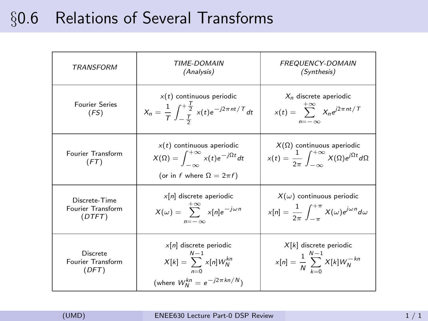# <span id="page-22-0"></span>§0.6 Relations of Several Transforms

| TRANSFORM                                    | <b>TIME-DOMAIN</b><br>(Analysis)                                                                                                   | <i><b>FREQUENCY-DOMAIN</b></i><br>(Synthesis)                                                              |
|----------------------------------------------|------------------------------------------------------------------------------------------------------------------------------------|------------------------------------------------------------------------------------------------------------|
| <b>Fourier Series</b><br>(FS)                | $x(t)$ continuous periodic<br>$X_n = \frac{1}{T} \int_{-\frac{T}{2}}^{+\frac{T}{2}} x(t) e^{-j2\pi nt/T} dt$                       | $X_n$ discrete aperiodic<br>$x(t) = \sum_{n=1}^{+\infty} X_n e^{j2\pi nt/T}$<br>$n=-\infty$                |
| Fourier Transform<br>(FT)                    | $x(t)$ continuous aperiodic<br>$X(\Omega) = \int_{-\infty}^{+\infty} x(t) e^{-j\Omega t} dt$<br>(or in f where $\Omega = 2\pi f$ ) | $X(\Omega)$ continuous aperiodic<br>$x(t) = \frac{1}{2\pi} \int^{+\infty} X(\Omega) e^{i\Omega t} d\Omega$ |
| Discrete-Time<br>Fourier Transform<br>(DTFT) | $x[n]$ discrete aperiodic<br>$X(\omega) = \sum_{n=-\infty}^{+\infty} x[n] e^{-j\omega n}$<br>$n=-\infty$                           | $X(\omega)$ continuous periodic<br>$x[n] = \frac{1}{2} \int^{+\pi} X(\omega)e^{j\omega n} d\omega$         |
| Discrete<br>Fourier Transform<br>(DFT)       | $x[n]$ discrete periodic<br>$N-1$<br>$X[k] = \sum_{n=0}^{\infty} x[n]W_N^{kn}$<br>(where $W_N^{kn} = e^{-j2\pi kn/N}$ )            | $X[k]$ discrete periodic<br>$x[n] = \frac{1}{N} \sum_{k=0}^{N-1} X[k] W_N^{-kn}$                           |